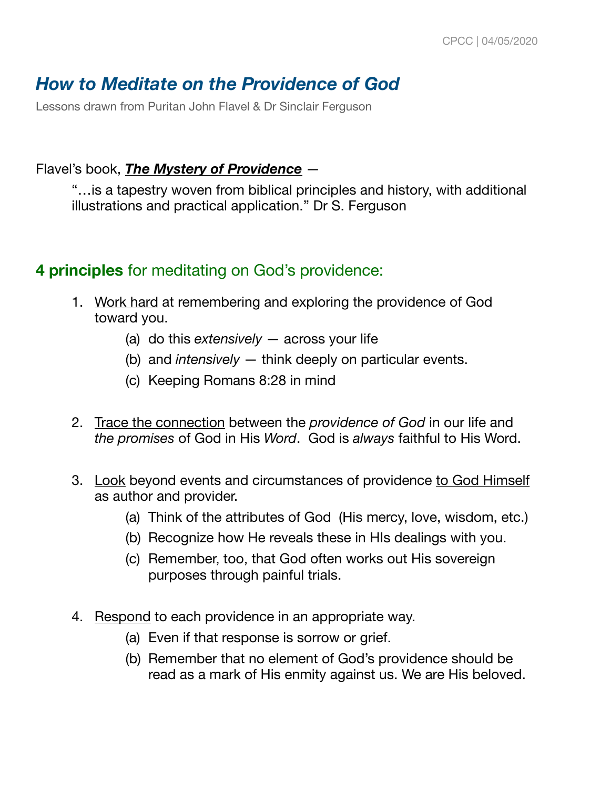# *How to Meditate on the Providence of God*

Lessons drawn from Puritan John Flavel & Dr Sinclair Ferguson

#### Flavel's book, *The Mystery of Providence* —

"…is a tapestry woven from biblical principles and history, with additional illustrations and practical application." Dr S. Ferguson

#### **4 principles** for meditating on God's providence:

- 1. Work hard at remembering and exploring the providence of God toward you.
	- (a) do this *extensively* across your life
	- (b) and *intensively* think deeply on particular events.
	- (c) Keeping Romans 8:28 in mind
- 2. Trace the connection between the *providence of God* in our life and *the promises* of God in His *Word*. God is *always* faithful to His Word.
- 3. Look beyond events and circumstances of providence to God Himself as author and provider.
	- (a) Think of the attributes of God (His mercy, love, wisdom, etc.)
	- (b) Recognize how He reveals these in HIs dealings with you.
	- (c) Remember, too, that God often works out His sovereign purposes through painful trials.
- 4. Respond to each providence in an appropriate way.
	- (a) Even if that response is sorrow or grief.
	- (b) Remember that no element of God's providence should be read as a mark of His enmity against us. We are His beloved.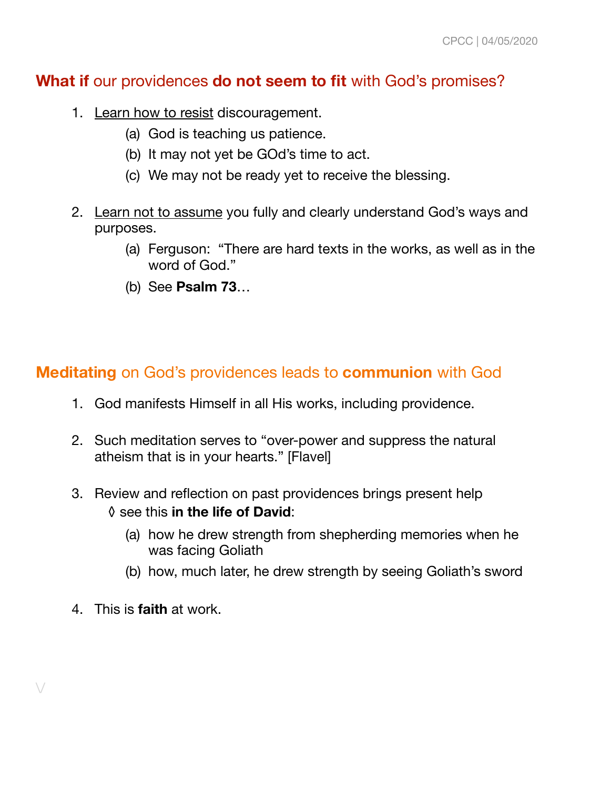## **What if** our providences **do not seem to fit** with God's promises?

- 1. Learn how to resist discouragement.
	- (a) God is teaching us patience.
	- (b) It may not yet be GOd's time to act.
	- (c) We may not be ready yet to receive the blessing.
- 2. Learn not to assume you fully and clearly understand God's ways and purposes.
	- (a) Ferguson: "There are hard texts in the works, as well as in the word of God."
	- (b) See **Psalm 73**…

## **Meditating** on God's providences leads to **communion** with God

- 1. God manifests Himself in all His works, including providence.
- 2. Such meditation serves to "over-power and suppress the natural atheism that is in your hearts." [Flavel]
- 3. Review and reflection on past providences brings present help ◊ see this **in the life of David**:
	- (a) how he drew strength from shepherding memories when he was facing Goliath
	- (b) how, much later, he drew strength by seeing Goliath's sword
- 4. This is **faith** at work.

 $\setminus$